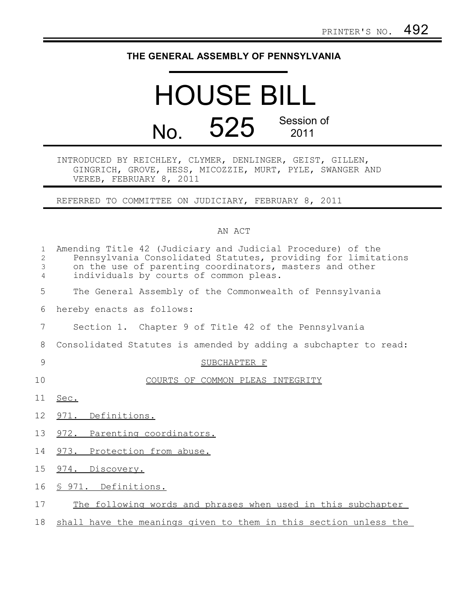## **THE GENERAL ASSEMBLY OF PENNSYLVANIA**

## HOUSE BILL No. 525 Session of 2011

INTRODUCED BY REICHLEY, CLYMER, DENLINGER, GEIST, GILLEN, GINGRICH, GROVE, HESS, MICOZZIE, MURT, PYLE, SWANGER AND VEREB, FEBRUARY 8, 2011

REFERRED TO COMMITTEE ON JUDICIARY, FEBRUARY 8, 2011

## AN ACT

| $\mathbf{1}$<br>$\mathbf{2}$<br>3<br>4 | Amending Title 42 (Judiciary and Judicial Procedure) of the<br>Pennsylvania Consolidated Statutes, providing for limitations<br>on the use of parenting coordinators, masters and other<br>individuals by courts of common pleas. |
|----------------------------------------|-----------------------------------------------------------------------------------------------------------------------------------------------------------------------------------------------------------------------------------|
| 5                                      | The General Assembly of the Commonwealth of Pennsylvania                                                                                                                                                                          |
| 6                                      | hereby enacts as follows:                                                                                                                                                                                                         |
| 7                                      | Section 1. Chapter 9 of Title 42 of the Pennsylvania                                                                                                                                                                              |
| 8                                      | Consolidated Statutes is amended by adding a subchapter to read:                                                                                                                                                                  |
| 9                                      | SUBCHAPTER F                                                                                                                                                                                                                      |
| 10                                     | COURTS OF COMMON PLEAS INTEGRITY                                                                                                                                                                                                  |
| 11                                     | Sec.                                                                                                                                                                                                                              |
| 12                                     | 971. Definitions.                                                                                                                                                                                                                 |
| 13                                     | 972. Parenting coordinators.                                                                                                                                                                                                      |
| 14                                     | 973. Protection from abuse.                                                                                                                                                                                                       |
| 15                                     | 974. Discovery.                                                                                                                                                                                                                   |
| 16                                     | <u>§ 971. Definitions.</u>                                                                                                                                                                                                        |
| 17                                     | The following words and phrases when used in this subchapter                                                                                                                                                                      |
| 18                                     | shall have the meanings given to them in this section unless the                                                                                                                                                                  |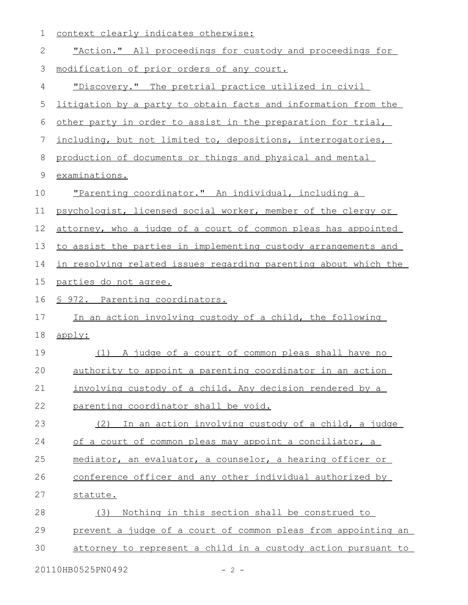| 1           | context clearly indicates otherwise:                            |
|-------------|-----------------------------------------------------------------|
| 2           | "Action." All proceedings for custody and proceedings for       |
| 3           | modification of prior orders of any court.                      |
| 4           | "Discovery." The pretrial practice utilized in civil            |
| 5           | litigation by a party to obtain facts and information from the  |
| 6           | other party in order to assist in the preparation for trial,    |
| 7           | including, but not limited to, depositions, interrogatories,    |
| 8           | production of documents or things and physical and mental       |
| $\mathsf 9$ | examinations.                                                   |
| 10          | "Parenting coordinator." An individual, including a             |
| 11          | psychologist, licensed social worker, member of the clergy or   |
| 12          | attorney, who a judge of a court of common pleas has appointed  |
| 13          | to assist the parties in implementing custody arrangements and  |
| 14          | in resolving related issues regarding parenting about which the |
| 15          | parties do not agree.                                           |
| 16          | <u>§ 972. Parenting coordinators.</u>                           |
| 17          | In an action involving custody of a child, the following        |
| 18          | apply:                                                          |
| 19          | (1) A judge of a court of common pleas shall have no            |
| 20          | authority to appoint a parenting coordinator in an action       |
| 21          | involving custody of a child. Any decision rendered by a        |
| 22          | parenting coordinator shall be void.                            |
| 23          | In an action involving custody of a child, a judge<br>(2)       |
| 24          | of a court of common pleas may appoint a conciliator, a         |
| 25          | mediator, an evaluator, a counselor, a hearing officer or       |
| 26          | conference officer and any other individual authorized by       |
| 27          | statute.                                                        |
| 28          | Nothing in this section shall be construed to<br>(3)            |
| 29          | prevent a judge of a court of common pleas from appointing an   |
| 30          | attorney to represent a child in a custody action pursuant to   |
|             | 20110HB0525PN0492<br>$-2 -$                                     |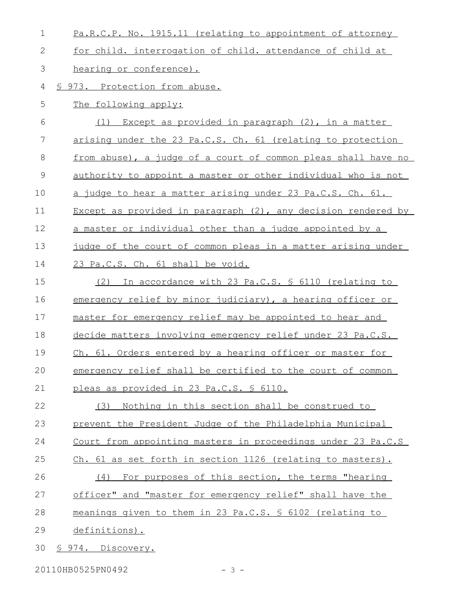| $\mathbf 1$ | Pa.R.C.P. No. 1915.11 (relating to appointment of attorney      |
|-------------|-----------------------------------------------------------------|
| 2           | for child. interrogation of child. attendance of child at       |
| 3           | hearing or conference).                                         |
| 4           | § 973. Protection from abuse.                                   |
| 5           | The following apply:                                            |
| 6           | (1)<br>Except as provided in paragraph (2), in a matter         |
| 7           | arising under the 23 Pa.C.S. Ch. 61 (relating to protection     |
| 8           | from abuse), a judge of a court of common pleas shall have no   |
| 9           | authority to appoint a master or other individual who is not    |
| 10          | a judge to hear a matter arising under 23 Pa.C.S. Ch. 61.       |
| 11          | Except as provided in paragraph (2), any decision rendered by   |
| 12          | <u>a master or individual other than a judge appointed by a</u> |
| 13          | judge of the court of common pleas in a matter arising under    |
| 14          | 23 Pa.C.S. Ch. 61 shall be void.                                |
| 15          | (2) In accordance with 23 Pa.C.S. \$ 6110 (relating to          |
| 16          | emergency relief by minor judiciary), a hearing officer or      |
| 17          | master for emergency relief may be appointed to hear and        |
| 18          | decide matters involving emergency relief under 23 Pa.C.S.      |
| 19          | Ch. 61. Orders entered by a hearing officer or master for       |
| 20          | emergency relief shall be certified to the court of common      |
| 21          | pleas as provided in 23 Pa.C.S. § 6110.                         |
| 22          | Nothing in this section shall be construed to<br>(3)            |
| 23          | prevent the President Judge of the Philadelphia Municipal       |
| 24          | Court from appointing masters in proceedings under 23 Pa.C.S    |
| 25          | Ch. 61 as set forth in section 1126 (relating to masters).      |
| 26          | (4) For purposes of this section, the terms "hearing            |
| 27          | officer" and "master for emergency relief" shall have the       |
| 28          | meanings given to them in 23 Pa.C.S. \$ 6102 (relating to       |
| 29          | definitions).                                                   |
| 30          | <u>§ 974. Discovery.</u>                                        |

20110HB0525PN0492 - 3 -